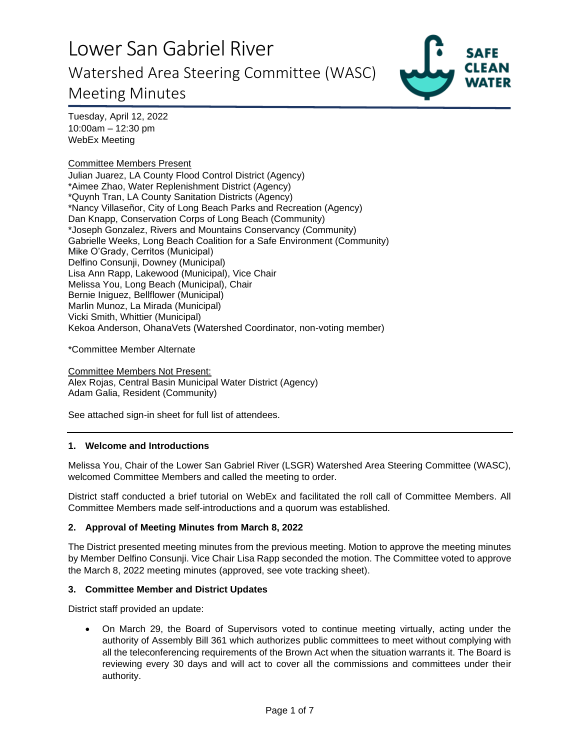

Tuesday, April 12, 2022 10:00am – 12:30 pm WebEx Meeting

### Committee Members Present

Julian Juarez, LA County Flood Control District (Agency) \*Aimee Zhao, Water Replenishment District (Agency) \*Quynh Tran, LA County Sanitation Districts (Agency) \*Nancy Villaseñor, City of Long Beach Parks and Recreation (Agency) Dan Knapp, Conservation Corps of Long Beach (Community) \*Joseph Gonzalez, Rivers and Mountains Conservancy (Community) Gabrielle Weeks, Long Beach Coalition for a Safe Environment (Community) Mike O'Grady, Cerritos (Municipal) Delfino Consunji, Downey (Municipal) Lisa Ann Rapp, Lakewood (Municipal), Vice Chair Melissa You, Long Beach (Municipal), Chair Bernie Iniguez, Bellflower (Municipal) Marlin Munoz, La Mirada (Municipal) Vicki Smith, Whittier (Municipal) Kekoa Anderson, OhanaVets (Watershed Coordinator, non-voting member)

\*Committee Member Alternate

Committee Members Not Present: Alex Rojas, Central Basin Municipal Water District (Agency) Adam Galia, Resident (Community)

See attached sign-in sheet for full list of attendees.

### **1. Welcome and Introductions**

Melissa You, Chair of the Lower San Gabriel River (LSGR) Watershed Area Steering Committee (WASC), welcomed Committee Members and called the meeting to order.

District staff conducted a brief tutorial on WebEx and facilitated the roll call of Committee Members. All Committee Members made self-introductions and a quorum was established.

### **2. Approval of Meeting Minutes from March 8, 2022**

The District presented meeting minutes from the previous meeting. Motion to approve the meeting minutes by Member Delfino Consunji. Vice Chair Lisa Rapp seconded the motion. The Committee voted to approve the March 8, 2022 meeting minutes (approved, see vote tracking sheet).

#### **3. Committee Member and District Updates**

District staff provided an update:

• On March 29, the Board of Supervisors voted to continue meeting virtually, acting under the authority of Assembly Bill 361 which authorizes public committees to meet without complying with all the teleconferencing requirements of the Brown Act when the situation warrants it. The Board is reviewing every 30 days and will act to cover all the commissions and committees under their authority.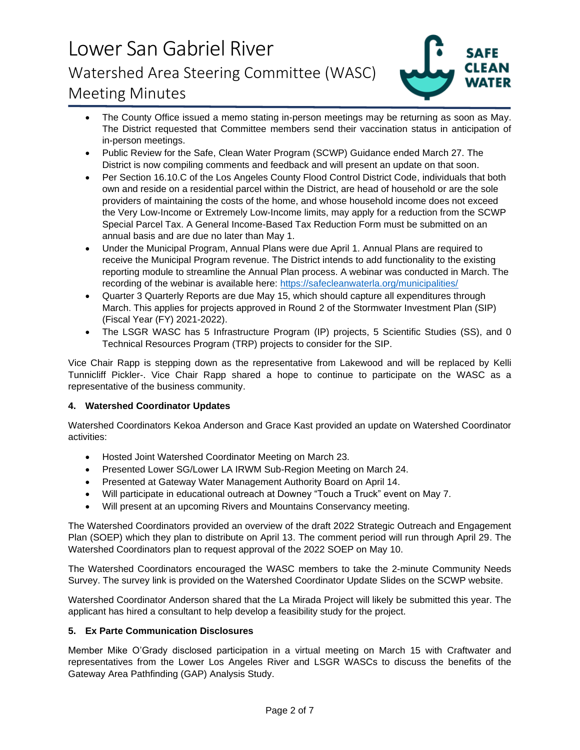

- The County Office issued a memo stating in-person meetings may be returning as soon as May. The District requested that Committee members send their vaccination status in anticipation of in-person meetings.
- Public Review for the Safe, Clean Water Program (SCWP) Guidance ended March 27. The District is now compiling comments and feedback and will present an update on that soon.
- Per Section 16.10.C of the Los Angeles County Flood Control District Code, individuals that both own and reside on a residential parcel within the District, are head of household or are the sole providers of maintaining the costs of the home, and whose household income does not exceed the Very Low-Income or Extremely Low-Income limits, may apply for a reduction from the SCWP Special Parcel Tax. A General Income-Based Tax Reduction Form must be submitted on an annual basis and are due no later than May 1.
- Under the Municipal Program, Annual Plans were due April 1. Annual Plans are required to receive the Municipal Program revenue. The District intends to add functionality to the existing reporting module to streamline the Annual Plan process. A webinar was conducted in March. The recording of the webinar is available here:<https://safecleanwaterla.org/municipalities/>
- Quarter 3 Quarterly Reports are due May 15, which should capture all expenditures through March. This applies for projects approved in Round 2 of the Stormwater Investment Plan (SIP) (Fiscal Year (FY) 2021-2022).
- The LSGR WASC has 5 Infrastructure Program (IP) projects, 5 Scientific Studies (SS), and 0 Technical Resources Program (TRP) projects to consider for the SIP.

Vice Chair Rapp is stepping down as the representative from Lakewood and will be replaced by Kelli Tunnicliff Pickler-. Vice Chair Rapp shared a hope to continue to participate on the WASC as a representative of the business community.

### **4. Watershed Coordinator Updates**

Watershed Coordinators Kekoa Anderson and Grace Kast provided an update on Watershed Coordinator activities:

- Hosted Joint Watershed Coordinator Meeting on March 23.
- Presented Lower SG/Lower LA IRWM Sub-Region Meeting on March 24.
- Presented at Gateway Water Management Authority Board on April 14.
- Will participate in educational outreach at Downey "Touch a Truck" event on May 7.
- Will present at an upcoming Rivers and Mountains Conservancy meeting.

The Watershed Coordinators provided an overview of the draft 2022 Strategic Outreach and Engagement Plan (SOEP) which they plan to distribute on April 13. The comment period will run through April 29. The Watershed Coordinators plan to request approval of the 2022 SOEP on May 10.

The Watershed Coordinators encouraged the WASC members to take the 2-minute Community Needs Survey. The survey link is provided on the Watershed Coordinator Update Slides on the SCWP website.

Watershed Coordinator Anderson shared that the La Mirada Project will likely be submitted this year. The applicant has hired a consultant to help develop a feasibility study for the project.

### **5. Ex Parte Communication Disclosures**

Member Mike O'Grady disclosed participation in a virtual meeting on March 15 with Craftwater and representatives from the Lower Los Angeles River and LSGR WASCs to discuss the benefits of the Gateway Area Pathfinding (GAP) Analysis Study.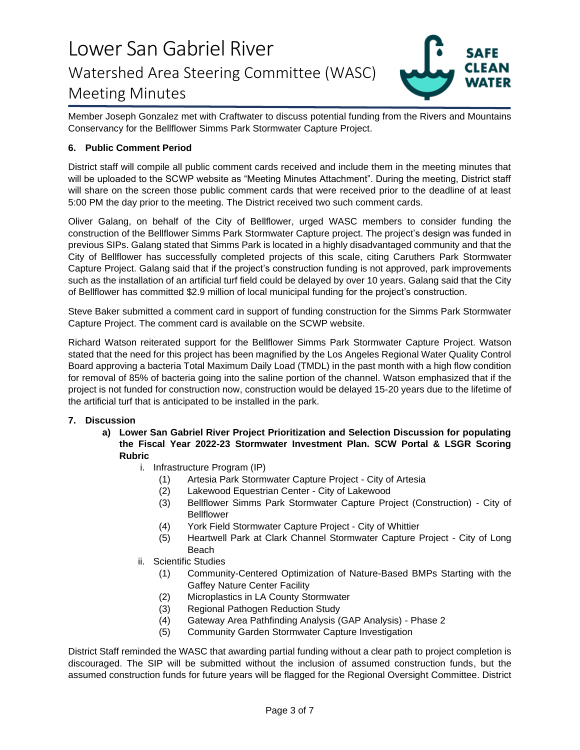

Member Joseph Gonzalez met with Craftwater to discuss potential funding from the Rivers and Mountains Conservancy for the Bellflower Simms Park Stormwater Capture Project.

### **6. Public Comment Period**

District staff will compile all public comment cards received and include them in the meeting minutes that will be uploaded to the SCWP website as "Meeting Minutes Attachment". During the meeting, District staff will share on the screen those public comment cards that were received prior to the deadline of at least 5:00 PM the day prior to the meeting. The District received two such comment cards.

Oliver Galang, on behalf of the City of Bellflower, urged WASC members to consider funding the construction of the Bellflower Simms Park Stormwater Capture project. The project's design was funded in previous SIPs. Galang stated that Simms Park is located in a highly disadvantaged community and that the City of Bellflower has successfully completed projects of this scale, citing Caruthers Park Stormwater Capture Project. Galang said that if the project's construction funding is not approved, park improvements such as the installation of an artificial turf field could be delayed by over 10 years. Galang said that the City of Bellflower has committed \$2.9 million of local municipal funding for the project's construction.

Steve Baker submitted a comment card in support of funding construction for the Simms Park Stormwater Capture Project. The comment card is available on the SCWP website.

Richard Watson reiterated support for the Bellflower Simms Park Stormwater Capture Project. Watson stated that the need for this project has been magnified by the Los Angeles Regional Water Quality Control Board approving a bacteria Total Maximum Daily Load (TMDL) in the past month with a high flow condition for removal of 85% of bacteria going into the saline portion of the channel. Watson emphasized that if the project is not funded for construction now, construction would be delayed 15-20 years due to the lifetime of the artificial turf that is anticipated to be installed in the park.

### **7. Discussion**

- **a) Lower San Gabriel River Project Prioritization and Selection Discussion for populating the Fiscal Year 2022-23 Stormwater Investment Plan. SCW Portal & LSGR Scoring Rubric**
	- i. Infrastructure Program (IP)
		- (1) Artesia Park Stormwater Capture Project City of Artesia
		- (2) Lakewood Equestrian Center City of Lakewood
		- (3) Bellflower Simms Park Stormwater Capture Project (Construction) City of **Bellflower**
		- (4) York Field Stormwater Capture Project City of Whittier
		- (5) Heartwell Park at Clark Channel Stormwater Capture Project City of Long Beach
	- ii. Scientific Studies
		- (1) Community-Centered Optimization of Nature-Based BMPs Starting with the Gaffey Nature Center Facility
		- (2) Microplastics in LA County Stormwater
		- (3) Regional Pathogen Reduction Study
		- (4) Gateway Area Pathfinding Analysis (GAP Analysis) Phase 2
		- (5) Community Garden Stormwater Capture Investigation

District Staff reminded the WASC that awarding partial funding without a clear path to project completion is discouraged. The SIP will be submitted without the inclusion of assumed construction funds, but the assumed construction funds for future years will be flagged for the Regional Oversight Committee. District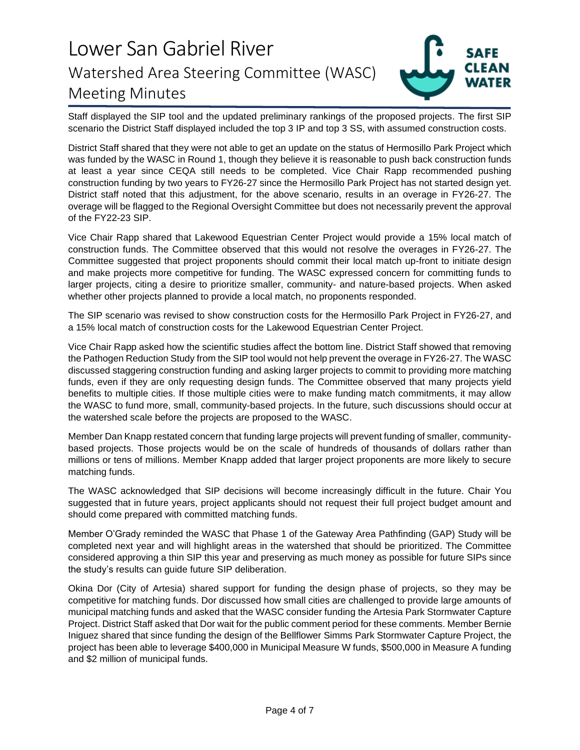

Staff displayed the SIP tool and the updated preliminary rankings of the proposed projects. The first SIP scenario the District Staff displayed included the top 3 IP and top 3 SS, with assumed construction costs.

District Staff shared that they were not able to get an update on the status of Hermosillo Park Project which was funded by the WASC in Round 1, though they believe it is reasonable to push back construction funds at least a year since CEQA still needs to be completed. Vice Chair Rapp recommended pushing construction funding by two years to FY26-27 since the Hermosillo Park Project has not started design yet. District staff noted that this adjustment, for the above scenario, results in an overage in FY26-27. The overage will be flagged to the Regional Oversight Committee but does not necessarily prevent the approval of the FY22-23 SIP.

Vice Chair Rapp shared that Lakewood Equestrian Center Project would provide a 15% local match of construction funds. The Committee observed that this would not resolve the overages in FY26-27. The Committee suggested that project proponents should commit their local match up-front to initiate design and make projects more competitive for funding. The WASC expressed concern for committing funds to larger projects, citing a desire to prioritize smaller, community- and nature-based projects. When asked whether other projects planned to provide a local match, no proponents responded.

The SIP scenario was revised to show construction costs for the Hermosillo Park Project in FY26-27, and a 15% local match of construction costs for the Lakewood Equestrian Center Project.

Vice Chair Rapp asked how the scientific studies affect the bottom line. District Staff showed that removing the Pathogen Reduction Study from the SIP tool would not help prevent the overage in FY26-27. The WASC discussed staggering construction funding and asking larger projects to commit to providing more matching funds, even if they are only requesting design funds. The Committee observed that many projects yield benefits to multiple cities. If those multiple cities were to make funding match commitments, it may allow the WASC to fund more, small, community-based projects. In the future, such discussions should occur at the watershed scale before the projects are proposed to the WASC.

Member Dan Knapp restated concern that funding large projects will prevent funding of smaller, communitybased projects. Those projects would be on the scale of hundreds of thousands of dollars rather than millions or tens of millions. Member Knapp added that larger project proponents are more likely to secure matching funds.

The WASC acknowledged that SIP decisions will become increasingly difficult in the future. Chair You suggested that in future years, project applicants should not request their full project budget amount and should come prepared with committed matching funds.

Member O'Grady reminded the WASC that Phase 1 of the Gateway Area Pathfinding (GAP) Study will be completed next year and will highlight areas in the watershed that should be prioritized. The Committee considered approving a thin SIP this year and preserving as much money as possible for future SIPs since the study's results can guide future SIP deliberation.

Okina Dor (City of Artesia) shared support for funding the design phase of projects, so they may be competitive for matching funds. Dor discussed how small cities are challenged to provide large amounts of municipal matching funds and asked that the WASC consider funding the Artesia Park Stormwater Capture Project. District Staff asked that Dor wait for the public comment period for these comments. Member Bernie Iniguez shared that since funding the design of the Bellflower Simms Park Stormwater Capture Project, the project has been able to leverage \$400,000 in Municipal Measure W funds, \$500,000 in Measure A funding and \$2 million of municipal funds.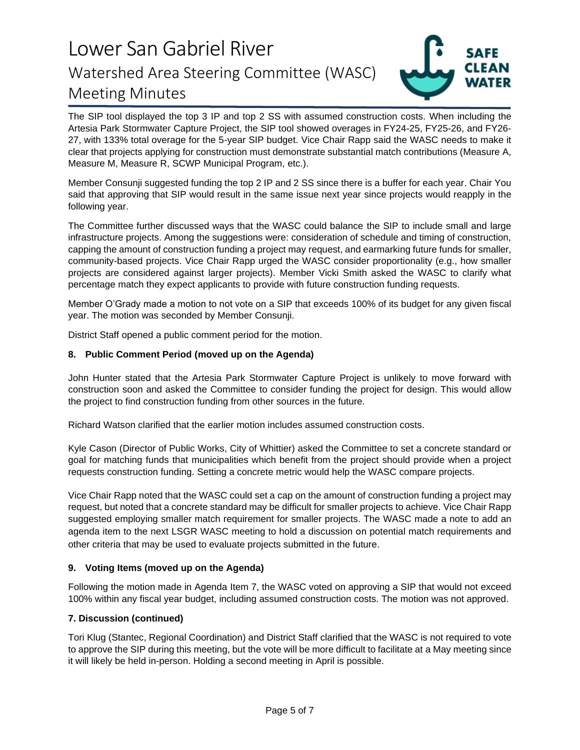

The SIP tool displayed the top 3 IP and top 2 SS with assumed construction costs. When including the Artesia Park Stormwater Capture Project, the SIP tool showed overages in FY24-25, FY25-26, and FY26- 27, with 133% total overage for the 5-year SIP budget. Vice Chair Rapp said the WASC needs to make it clear that projects applying for construction must demonstrate substantial match contributions (Measure A, Measure M, Measure R, SCWP Municipal Program, etc.).

Member Consunji suggested funding the top 2 IP and 2 SS since there is a buffer for each year. Chair You said that approving that SIP would result in the same issue next year since projects would reapply in the following year.

The Committee further discussed ways that the WASC could balance the SIP to include small and large infrastructure projects. Among the suggestions were: consideration of schedule and timing of construction, capping the amount of construction funding a project may request, and earmarking future funds for smaller, community-based projects. Vice Chair Rapp urged the WASC consider proportionality (e.g., how smaller projects are considered against larger projects). Member Vicki Smith asked the WASC to clarify what percentage match they expect applicants to provide with future construction funding requests.

Member O'Grady made a motion to not vote on a SIP that exceeds 100% of its budget for any given fiscal year. The motion was seconded by Member Consunji.

District Staff opened a public comment period for the motion.

### **8. Public Comment Period (moved up on the Agenda)**

John Hunter stated that the Artesia Park Stormwater Capture Project is unlikely to move forward with construction soon and asked the Committee to consider funding the project for design. This would allow the project to find construction funding from other sources in the future.

Richard Watson clarified that the earlier motion includes assumed construction costs.

Kyle Cason (Director of Public Works, City of Whittier) asked the Committee to set a concrete standard or goal for matching funds that municipalities which benefit from the project should provide when a project requests construction funding. Setting a concrete metric would help the WASC compare projects.

Vice Chair Rapp noted that the WASC could set a cap on the amount of construction funding a project may request, but noted that a concrete standard may be difficult for smaller projects to achieve. Vice Chair Rapp suggested employing smaller match requirement for smaller projects. The WASC made a note to add an agenda item to the next LSGR WASC meeting to hold a discussion on potential match requirements and other criteria that may be used to evaluate projects submitted in the future.

### **9. Voting Items (moved up on the Agenda)**

Following the motion made in Agenda Item 7, the WASC voted on approving a SIP that would not exceed 100% within any fiscal year budget, including assumed construction costs. The motion was not approved.

### **7. Discussion (continued)**

Tori Klug (Stantec, Regional Coordination) and District Staff clarified that the WASC is not required to vote to approve the SIP during this meeting, but the vote will be more difficult to facilitate at a May meeting since it will likely be held in-person. Holding a second meeting in April is possible.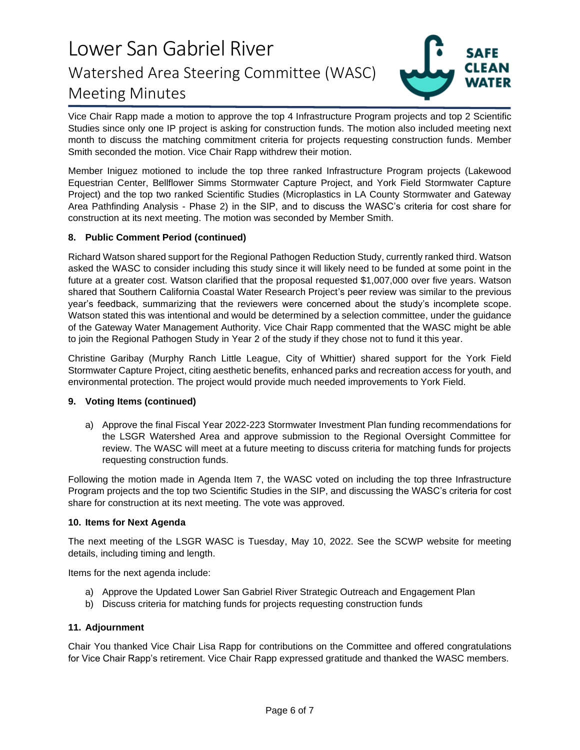

Vice Chair Rapp made a motion to approve the top 4 Infrastructure Program projects and top 2 Scientific Studies since only one IP project is asking for construction funds. The motion also included meeting next month to discuss the matching commitment criteria for projects requesting construction funds. Member Smith seconded the motion. Vice Chair Rapp withdrew their motion.

Member Iniguez motioned to include the top three ranked Infrastructure Program projects (Lakewood Equestrian Center, Bellflower Simms Stormwater Capture Project, and York Field Stormwater Capture Project) and the top two ranked Scientific Studies (Microplastics in LA County Stormwater and Gateway Area Pathfinding Analysis - Phase 2) in the SIP, and to discuss the WASC's criteria for cost share for construction at its next meeting. The motion was seconded by Member Smith.

### **8. Public Comment Period (continued)**

Richard Watson shared support for the Regional Pathogen Reduction Study, currently ranked third. Watson asked the WASC to consider including this study since it will likely need to be funded at some point in the future at a greater cost. Watson clarified that the proposal requested \$1,007,000 over five years. Watson shared that Southern California Coastal Water Research Project's peer review was similar to the previous year's feedback, summarizing that the reviewers were concerned about the study's incomplete scope. Watson stated this was intentional and would be determined by a selection committee, under the guidance of the Gateway Water Management Authority. Vice Chair Rapp commented that the WASC might be able to join the Regional Pathogen Study in Year 2 of the study if they chose not to fund it this year.

Christine Garibay (Murphy Ranch Little League, City of Whittier) shared support for the York Field Stormwater Capture Project, citing aesthetic benefits, enhanced parks and recreation access for youth, and environmental protection. The project would provide much needed improvements to York Field.

### **9. Voting Items (continued)**

a) Approve the final Fiscal Year 2022-223 Stormwater Investment Plan funding recommendations for the LSGR Watershed Area and approve submission to the Regional Oversight Committee for review. The WASC will meet at a future meeting to discuss criteria for matching funds for projects requesting construction funds.

Following the motion made in Agenda Item 7, the WASC voted on including the top three Infrastructure Program projects and the top two Scientific Studies in the SIP, and discussing the WASC's criteria for cost share for construction at its next meeting. The vote was approved.

### **10. Items for Next Agenda**

The next meeting of the LSGR WASC is Tuesday, May 10, 2022. See the SCWP website for meeting details, including timing and length.

Items for the next agenda include:

- a) Approve the Updated Lower San Gabriel River Strategic Outreach and Engagement Plan
- b) Discuss criteria for matching funds for projects requesting construction funds

### **11. Adjournment**

Chair You thanked Vice Chair Lisa Rapp for contributions on the Committee and offered congratulations for Vice Chair Rapp's retirement. Vice Chair Rapp expressed gratitude and thanked the WASC members.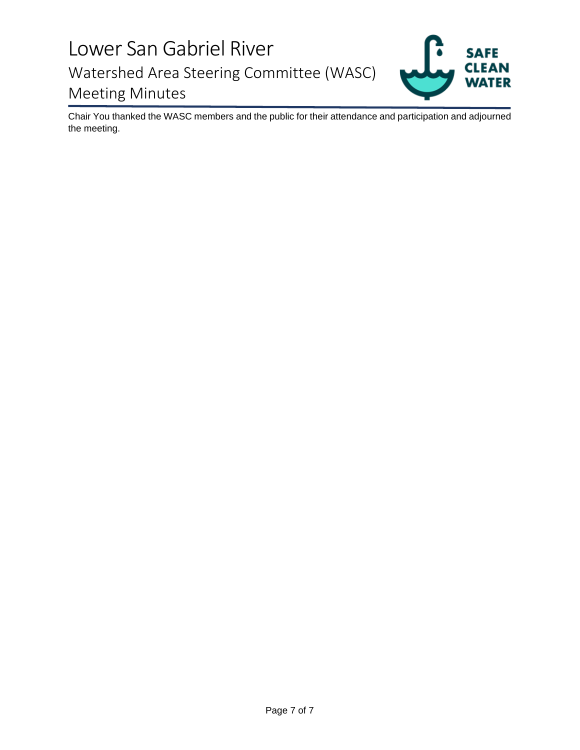

Chair You thanked the WASC members and the public for their attendance and participation and adjourned the meeting.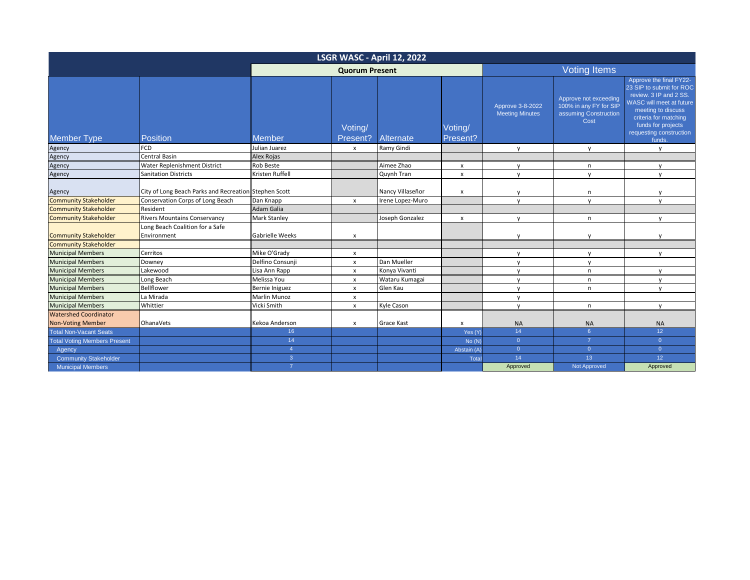| LSGR WASC - April 12, 2022          |                                                       |                     |                           |                   |                     |                                            |                                                                                  |                                                                                                                                                                                                                     |  |
|-------------------------------------|-------------------------------------------------------|---------------------|---------------------------|-------------------|---------------------|--------------------------------------------|----------------------------------------------------------------------------------|---------------------------------------------------------------------------------------------------------------------------------------------------------------------------------------------------------------------|--|
|                                     | <b>Quorum Present</b>                                 |                     |                           |                   | <b>Voting Items</b> |                                            |                                                                                  |                                                                                                                                                                                                                     |  |
| <b>Member Type</b>                  | <b>Position</b>                                       | <b>Member</b>       | Voting/<br>Present?       | Alternate         | Voting/<br>Present? | Approve 3-8-2022<br><b>Meeting Minutes</b> | Approve not exceeding<br>100% in any FY for SIP<br>assuming Construction<br>Cost | Approve the final FY22-<br>23 SIP to submit for ROC<br>review. 3 IP and 2 SS.<br>WASC will meet at future<br>meeting to discuss<br>criteria for matching<br>funds for projects<br>requesting construction<br>funds. |  |
| Agency                              | <b>FCD</b>                                            | Julian Juarez       | $\boldsymbol{\mathsf{x}}$ | Ramy Gindi        |                     | $\mathsf{V}$                               | $\mathsf{V}$                                                                     | $\mathsf{v}$                                                                                                                                                                                                        |  |
| Agency                              | Central Basin                                         | Alex Rojas          |                           |                   |                     |                                            |                                                                                  |                                                                                                                                                                                                                     |  |
| Agency                              | Water Replenishment District                          | Rob Beste           |                           | Aimee Zhao        | x                   | $\mathsf{V}$                               | n                                                                                | $\mathbf{v}$                                                                                                                                                                                                        |  |
| Agency                              | <b>Sanitation Districts</b>                           | Kristen Ruffell     |                           | Quynh Tran        | $\mathsf{x}$        | $\mathsf{v}$                               | $\mathsf{v}$                                                                     | $\mathbf{v}$                                                                                                                                                                                                        |  |
| Agency                              | City of Long Beach Parks and Recreation Stephen Scott |                     |                           | Nancy Villaseñor  | x                   |                                            | n                                                                                |                                                                                                                                                                                                                     |  |
| <b>Community Stakeholder</b>        | Conservation Corps of Long Beach                      | Dan Knapp           | $\pmb{\chi}$              | Irene Lopez-Muro  |                     | $\mathsf{v}$                               | $\mathsf{V}$                                                                     | $\mathbf{v}$                                                                                                                                                                                                        |  |
| <b>Community Stakeholder</b>        | Resident                                              | Adam Galia          |                           |                   |                     |                                            |                                                                                  |                                                                                                                                                                                                                     |  |
| <b>Community Stakeholder</b>        | <b>Rivers Mountains Conservancy</b>                   | <b>Mark Stanley</b> |                           | Joseph Gonzalez   | $\mathsf{x}$        | $\mathsf{v}$                               | n.                                                                               | $\mathbf{v}$                                                                                                                                                                                                        |  |
| <b>Community Stakeholder</b>        | Long Beach Coalition for a Safe<br>Environment        | Gabrielle Weeks     | $\boldsymbol{\mathsf{x}}$ |                   |                     | $\mathsf{v}$                               | y                                                                                | $\mathbf{v}$                                                                                                                                                                                                        |  |
| <b>Community Stakeholder</b>        |                                                       |                     |                           |                   |                     |                                            |                                                                                  |                                                                                                                                                                                                                     |  |
| <b>Municipal Members</b>            | Cerritos                                              | Mike O'Grady        | $\boldsymbol{\mathsf{x}}$ |                   |                     | y                                          | y                                                                                | $\mathsf{v}$                                                                                                                                                                                                        |  |
| <b>Municipal Members</b>            | Downey                                                | Delfino Consunji    | $\pmb{\chi}$              | Dan Mueller       |                     | $\mathsf{v}$                               | y                                                                                |                                                                                                                                                                                                                     |  |
| <b>Municipal Members</b>            | Lakewood                                              | Lisa Ann Rapp       | $\boldsymbol{\mathsf{x}}$ | Konya Vivanti     |                     | y                                          | n                                                                                | $\mathsf{v}$                                                                                                                                                                                                        |  |
| <b>Municipal Members</b>            | Long Beach                                            | Melissa You         | $\pmb{\mathsf{x}}$        | Wataru Kumagai    |                     | y                                          | n                                                                                | $\mathsf{V}$                                                                                                                                                                                                        |  |
| <b>Municipal Members</b>            | Bellflower                                            | Bernie Iniguez      | $\boldsymbol{\mathsf{x}}$ | Glen Kau          |                     | V                                          | n                                                                                | $\mathsf{V}$                                                                                                                                                                                                        |  |
| <b>Municipal Members</b>            | La Mirada                                             | <b>Marlin Munoz</b> | $\pmb{\mathsf{x}}$        |                   |                     | y                                          |                                                                                  |                                                                                                                                                                                                                     |  |
| <b>Municipal Members</b>            | Whittier                                              | Vicki Smith         | $\pmb{\chi}$              | Kyle Cason        |                     | y                                          | n                                                                                | $\mathsf{V}$                                                                                                                                                                                                        |  |
| <b>Watershed Coordinator</b>        |                                                       |                     |                           |                   |                     |                                            |                                                                                  |                                                                                                                                                                                                                     |  |
| <b>Non-Voting Member</b>            | OhanaVets                                             | Kekoa Anderson      | x                         | <b>Grace Kast</b> | X                   | <b>NA</b>                                  | <b>NA</b>                                                                        | <b>NA</b>                                                                                                                                                                                                           |  |
| <b>Total Non-Vacant Seats</b>       |                                                       | 16 <sup>°</sup>     |                           |                   | Yes (Y)             | 14                                         | 6 <sup>°</sup>                                                                   | 12 <sup>°</sup>                                                                                                                                                                                                     |  |
| <b>Total Voting Members Present</b> |                                                       | 14                  |                           |                   | No(N)               | $\overline{0}$                             | $\overline{7}$                                                                   | $\overline{0}$                                                                                                                                                                                                      |  |
| Agency                              |                                                       | $\overline{4}$      |                           |                   | Abstain (A)         | $\overline{0}$                             | $\overline{0}$                                                                   | $\overline{0}$                                                                                                                                                                                                      |  |
| <b>Community Stakeholder</b>        |                                                       | 3                   |                           |                   | Tota                | 14                                         | 13                                                                               | 12 <sup>°</sup>                                                                                                                                                                                                     |  |
| <b>Municipal Members</b>            |                                                       | $\overline{7}$      |                           |                   |                     | Approved                                   | Not Approved                                                                     | Approved                                                                                                                                                                                                            |  |